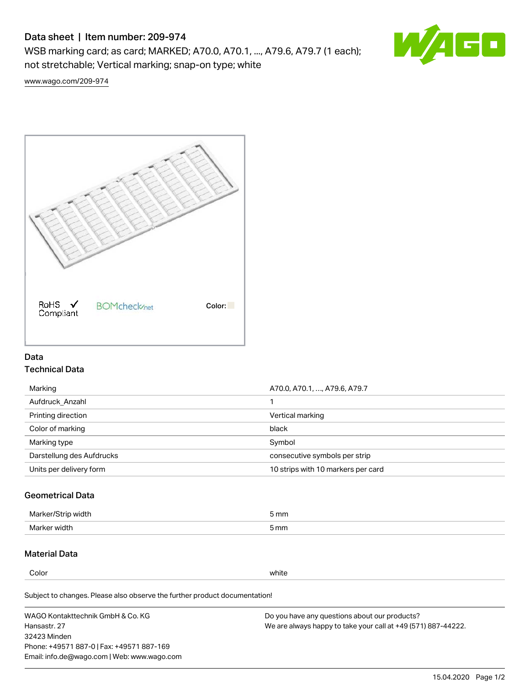# Data sheet | Item number: 209-974

WSB marking card; as card; MARKED; A70.0, A70.1, ..., A79.6, A79.7 (1 each); not stretchable; Vertical marking; snap-on type; white



[www.wago.com/209-974](http://www.wago.com/209-974)



## Data Technical Data

| Marking                   | A70.0, A70.1, , A79.6, A79.7       |
|---------------------------|------------------------------------|
| Aufdruck Anzahl           |                                    |
| Printing direction        | Vertical marking                   |
| Color of marking          | black                              |
| Marking type              | Symbol                             |
| Darstellung des Aufdrucks | consecutive symbols per strip      |
| Units per delivery form   | 10 strips with 10 markers per card |

## Geometrical Data

| طلقاء ئ<br><b>Marker</b><br>widtr | ັກmm |
|-----------------------------------|------|
| Marker width                      | 5 mm |

# Material Data

Color white

Subject to changes. Please also observe the further product documentation!

WAGO Kontakttechnik GmbH & Co. KG Hansastr. 27 32423 Minden Phone: +49571 887-0 | Fax: +49571 887-169 Email: info.de@wago.com | Web: www.wago.com Do you have any questions about our products? We are always happy to take your call at +49 (571) 887-44222.